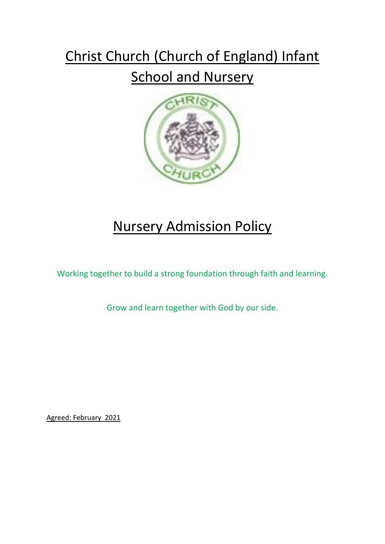# Christ Church (Church of England) Infant

## **School and Nursery**



# Nursery Admission Policy

Working together to build a strong foundation through faith and learning.

Grow and learn together with God by our side.

Agreed: February 2021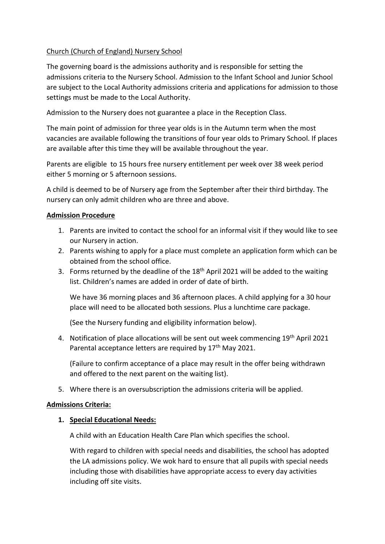#### Church (Church of England) Nursery School

The governing board is the admissions authority and is responsible for setting the admissions criteria to the Nursery School. Admission to the Infant School and Junior School are subject to the Local Authority admissions criteria and applications for admission to those settings must be made to the Local Authority.

Admission to the Nursery does not guarantee a place in the Reception Class.

The main point of admission for three year olds is in the Autumn term when the most vacancies are available following the transitions of four year olds to Primary School. If places are available after this time they will be available throughout the year.

Parents are eligible to 15 hours free nursery entitlement per week over 38 week period either 5 morning or 5 afternoon sessions.

A child is deemed to be of Nursery age from the September after their third birthday. The nursery can only admit children who are three and above.

#### **Admission Procedure**

- 1. Parents are invited to contact the school for an informal visit if they would like to see our Nursery in action.
- 2. Parents wishing to apply for a place must complete an application form which can be obtained from the school office.
- 3. Forms returned by the deadline of the 18<sup>th</sup> April 2021 will be added to the waiting list. Children's names are added in order of date of birth.

We have 36 morning places and 36 afternoon places. A child applying for a 30 hour place will need to be allocated both sessions. Plus a lunchtime care package.

(See the Nursery funding and eligibility information below).

4. Notification of place allocations will be sent out week commencing 19<sup>th</sup> April 2021 Parental acceptance letters are required by 17<sup>th</sup> May 2021.

(Failure to confirm acceptance of a place may result in the offer being withdrawn and offered to the next parent on the waiting list).

5. Where there is an oversubscription the admissions criteria will be applied.

#### **Admissions Criteria:**

#### **1. Special Educational Needs:**

A child with an Education Health Care Plan which specifies the school.

With regard to children with special needs and disabilities, the school has adopted the LA admissions policy. We wok hard to ensure that all pupils with special needs including those with disabilities have appropriate access to every day activities including off site visits.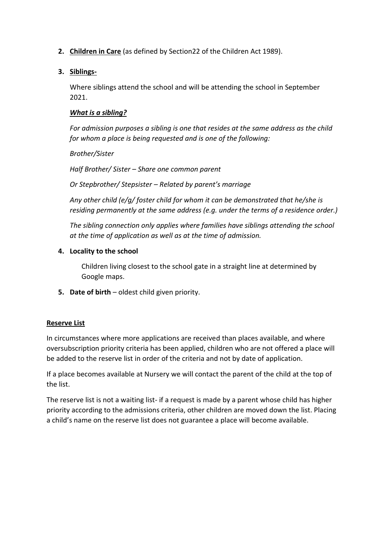- **2. Children in Care** (as defined by Section22 of the Children Act 1989).
- **3. Siblings-**

Where siblings attend the school and will be attending the school in September 2021.

#### *What is a sibling?*

*For admission purposes a sibling is one that resides at the same address as the child for whom a place is being requested and is one of the following:*

*Brother/Sister Half Brother/ Sister – Share one common parent*

*Or Stepbrother/ Stepsister – Related by parent's marriage*

*Any other child (e/g/ foster child for whom it can be demonstrated that he/she is residing permanently at the same address (e.g. under the terms of a residence order.)*

*The sibling connection only applies where families have siblings attending the school at the time of application as well as at the time of admission.*

**4. Locality to the school** 

Children living closest to the school gate in a straight line at determined by Google maps.

**5. Date of birth** – oldest child given priority.

### **Reserve List**

In circumstances where more applications are received than places available, and where oversubscription priority criteria has been applied, children who are not offered a place will be added to the reserve list in order of the criteria and not by date of application.

If a place becomes available at Nursery we will contact the parent of the child at the top of the list.

The reserve list is not a waiting list- if a request is made by a parent whose child has higher priority according to the admissions criteria, other children are moved down the list. Placing a child's name on the reserve list does not guarantee a place will become available.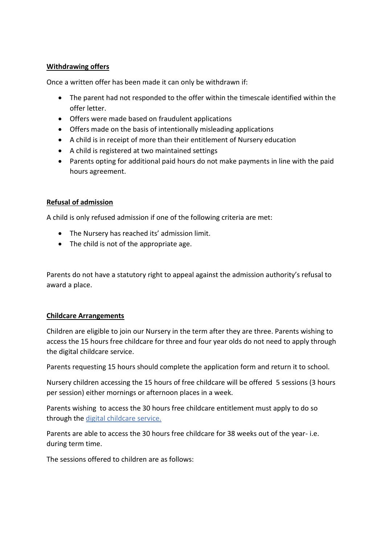#### **Withdrawing offers**

Once a written offer has been made it can only be withdrawn if:

- The parent had not responded to the offer within the timescale identified within the offer letter.
- Offers were made based on fraudulent applications
- Offers made on the basis of intentionally misleading applications
- A child is in receipt of more than their entitlement of Nursery education
- A child is registered at two maintained settings
- Parents opting for additional paid hours do not make payments in line with the paid hours agreement.

#### **Refusal of admission**

A child is only refused admission if one of the following criteria are met:

- The Nursery has reached its' admission limit.
- The child is not of the appropriate age.

Parents do not have a statutory right to appeal against the admission authority's refusal to award a place.

#### **Childcare Arrangements**

Children are eligible to join our Nursery in the term after they are three. Parents wishing to access the 15 hours free childcare for three and four year olds do not need to apply through the digital childcare service.

Parents requesting 15 hours should complete the application form and return it to school.

Nursery children accessing the 15 hours of free childcare will be offered 5 sessions (3 hours per session) either mornings or afternoon places in a week.

Parents wishing to access the 30 hours free childcare entitlement must apply to do so through the digital childcare service.

Parents are able to access the 30 hours free childcare for 38 weeks out of the year- i.e. during term time.

The sessions offered to children are as follows: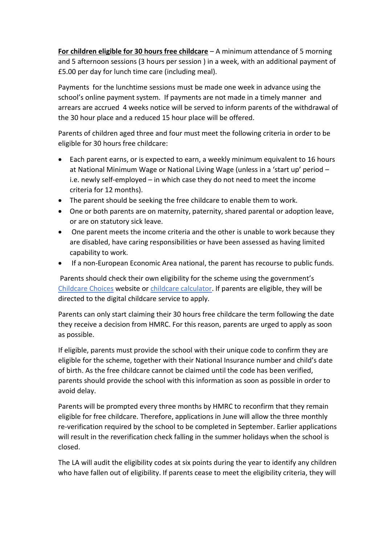**For children eligible for 30 hours free childcare** – A minimum attendance of 5 morning and 5 afternoon sessions (3 hours per session ) in a week, with an additional payment of £5.00 per day for lunch time care (including meal).

Payments for the lunchtime sessions must be made one week in advance using the school's online payment system. If payments are not made in a timely manner and arrears are accrued 4 weeks notice will be served to inform parents of the withdrawal of the 30 hour place and a reduced 15 hour place will be offered.

Parents of children aged three and four must meet the following criteria in order to be eligible for 30 hours free childcare:

- Each parent earns, or is expected to earn, a weekly minimum equivalent to 16 hours at National Minimum Wage or National Living Wage (unless in a 'start up' period – i.e. newly self-employed – in which case they do not need to meet the income criteria for 12 months).
- The parent should be seeking the free childcare to enable them to work.
- One or both parents are on maternity, paternity, shared parental or adoption leave, or are on statutory sick leave.
- One parent meets the income criteria and the other is unable to work because they are disabled, have caring responsibilities or have been assessed as having limited capability to work.
- If a non-European Economic Area national, the parent has recourse to public funds.

Parents should check their own eligibility for the scheme using the government's Childcare Choices website or childcare calculator. If parents are eligible, they will be directed to the digital childcare service to apply.

Parents can only start claiming their 30 hours free childcare the term following the date they receive a decision from HMRC. For this reason, parents are urged to apply as soon as possible.

If eligible, parents must provide the school with their unique code to confirm they are eligible for the scheme, together with their National Insurance number and child's date of birth. As the free childcare cannot be claimed until the code has been verified, parents should provide the school with this information as soon as possible in order to avoid delay.

Parents will be prompted every three months by HMRC to reconfirm that they remain eligible for free childcare. Therefore, applications in June will allow the three monthly re-verification required by the school to be completed in September. Earlier applications will result in the reverification check falling in the summer holidays when the school is closed.

The LA will audit the eligibility codes at six points during the year to identify any children who have fallen out of eligibility. If parents cease to meet the eligibility criteria, they will